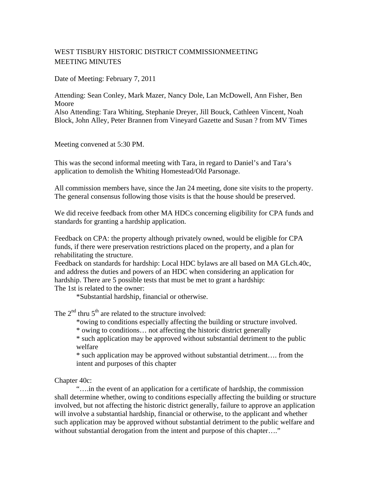## WEST TISBURY HISTORIC DISTRICT COMMISSIONMEETING MEETING MINUTES

Date of Meeting: February 7, 2011

Attending: Sean Conley, Mark Mazer, Nancy Dole, Lan McDowell, Ann Fisher, Ben Moore Also Attending: Tara Whiting, Stephanie Dreyer, Jill Bouck, Cathleen Vincent, Noah Block, John Alley, Peter Brannen from Vineyard Gazette and Susan ? from MV Times

Meeting convened at 5:30 PM.

This was the second informal meeting with Tara, in regard to Daniel's and Tara's application to demolish the Whiting Homestead/Old Parsonage.

All commission members have, since the Jan 24 meeting, done site visits to the property. The general consensus following those visits is that the house should be preserved.

We did receive feedback from other MA HDCs concerning eligibility for CPA funds and standards for granting a hardship application.

Feedback on CPA: the property although privately owned, would be eligible for CPA funds, if there were preservation restrictions placed on the property, and a plan for rehabilitating the structure.

Feedback on standards for hardship: Local HDC bylaws are all based on MA GLch.40c, and address the duties and powers of an HDC when considering an application for hardship. There are 5 possible tests that must be met to grant a hardship:

The 1st is related to the owner:

\*Substantial hardship, financial or otherwise.

The  $2<sup>nd</sup>$  thru  $5<sup>th</sup>$  are related to the structure involved:

\*owing to conditions especially affecting the building or structure involved.

\* owing to conditions… not affecting the historic district generally

\* such application may be approved without substantial detriment to the public welfare

\* such application may be approved without substantial detriment…. from the intent and purposes of this chapter

Chapter 40c:

 "….in the event of an application for a certificate of hardship, the commission shall determine whether, owing to conditions especially affecting the building or structure involved, but not affecting the historic district generally, failure to approve an application will involve a substantial hardship, financial or otherwise, to the applicant and whether such application may be approved without substantial detriment to the public welfare and without substantial derogation from the intent and purpose of this chapter...."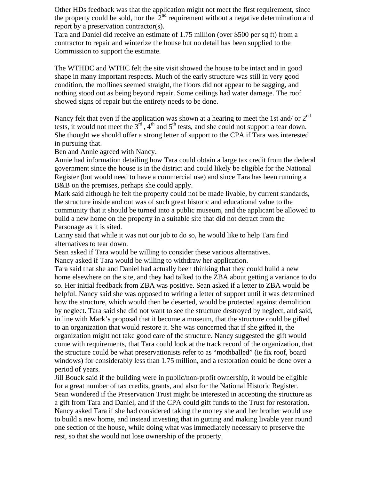Other HDs feedback was that the application might not meet the first requirement, since the property could be sold, nor the  $2<sup>nd</sup>$  requirement without a negative determination and report by a preservation contractor(s).

Tara and Daniel did receive an estimate of 1.75 million (over \$500 per sq ft) from a contractor to repair and winterize the house but no detail has been supplied to the Commission to support the estimate.

The WTHDC and WTHC felt the site visit showed the house to be intact and in good shape in many important respects. Much of the early structure was still in very good condition, the rooflines seemed straight, the floors did not appear to be sagging, and nothing stood out as being beyond repair. Some ceilings had water damage. The roof showed signs of repair but the entirety needs to be done.

Nancy felt that even if the application was shown at a hearing to meet the 1st and/ or  $2<sup>nd</sup>$ tests, it would not meet the  $3<sup>rd</sup>$ , 4<sup>th</sup> and 5<sup>th</sup> tests, and she could not support a tear down. She thought we should offer a strong letter of support to the CPA if Tara was interested in pursuing that.

Ben and Annie agreed with Nancy.

Annie had information detailing how Tara could obtain a large tax credit from the dederal government since the house is in the district and could likely be eligible for the National Register (but would need to have a commercial use) and since Tara has been running a B&B on the premises, perhaps she could apply.

Mark said although he felt the property could not be made livable, by current standards, the structure inside and out was of such great historic and educational value to the community that it should be turned into a public museum, and the applicant be allowed to build a new home on the property in a suitable site that did not detract from the Parsonage as it is sited.

Lanny said that while it was not our job to do so, he would like to help Tara find alternatives to tear down.

Sean asked if Tara would be willing to consider these various alternatives.

Nancy asked if Tara would be willing to withdraw her application.

Tara said that she and Daniel had actually been thinking that they could build a new home elsewhere on the site, and they had talked to the ZBA about getting a variance to do so. Her initial feedback from ZBA was positive. Sean asked if a letter to ZBA would be helpful. Nancy said she was opposed to writing a letter of support until it was determined how the structure, which would then be deserted, would be protected against demolition by neglect. Tara said she did not want to see the structure destroyed by neglect, and said, in line with Mark's proposal that it become a museum, that the structure could be gifted to an organization that would restore it. She was concerned that if she gifted it, the organization might not take good care of the structure. Nancy suggested the gift would come with requirements, that Tara could look at the track record of the organization, that the structure could be what preservationists refer to as "mothballed" (ie fix roof, board windows) for considerably less than 1.75 million, and a restoration could be done over a period of years.

Jill Bouck said if the building were in public/non-profit ownership, it would be eligible for a great number of tax credits, grants, and also for the National Historic Register. Sean wondered if the Preservation Trust might be interested in accepting the structure as a gift from Tara and Daniel, and if the CPA could gift funds to the Trust for restoration. Nancy asked Tara if she had considered taking the money she and her brother would use to build a new home, and instead investing that in gutting and making livable year round one section of the house, while doing what was immediately necessary to preserve the rest, so that she would not lose ownership of the property.